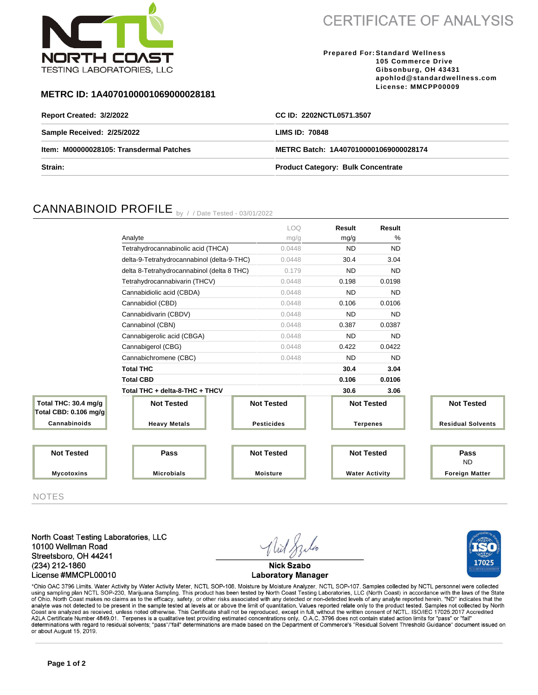

**CERTIFICATE OF ANALYSIS** 

**Prepared For: Standard Wellness 105 Commerce Drive Gibsonburg, OH 43431 apohlod@standardwellness.com License: MMCPP00009**

### **METRC ID: 1A4070100001069000028181**

| Report Created: 3/2/2022                | CC ID: 2202NCTL0571.3507                  |  |  |
|-----------------------------------------|-------------------------------------------|--|--|
| Sample Received: 2/25/2022              | <b>LIMS ID: 70848</b>                     |  |  |
| Item: M00000028105: Transdermal Patches | METRC Batch: 1A4070100001069000028174     |  |  |
| Strain:                                 | <b>Product Category: Bulk Concentrate</b> |  |  |

# CANNABINOID PROFILE by //Date Tested - 03/01/2022

|                                               |                                            | LOQ.              | Result                | Result    |                          |
|-----------------------------------------------|--------------------------------------------|-------------------|-----------------------|-----------|--------------------------|
|                                               | Analyte                                    | mg/g              | mg/g                  | %         |                          |
|                                               | Tetrahydrocannabinolic acid (THCA)         | 0.0448            | <b>ND</b>             | <b>ND</b> |                          |
|                                               | delta-9-Tetrahydrocannabinol (delta-9-THC) | 0.0448            | 30.4                  | 3.04      |                          |
|                                               | delta 8-Tetrahydrocannabinol (delta 8 THC) | 0.179             | <b>ND</b>             | <b>ND</b> |                          |
|                                               | Tetrahydrocannabivarin (THCV)              | 0.0448            | 0.198                 | 0.0198    |                          |
|                                               | Cannabidiolic acid (CBDA)                  | 0.0448            | <b>ND</b>             | <b>ND</b> |                          |
|                                               | Cannabidiol (CBD)                          | 0.0448            | 0.106                 | 0.0106    |                          |
|                                               | Cannabidivarin (CBDV)                      | 0.0448            | <b>ND</b>             | <b>ND</b> |                          |
|                                               | Cannabinol (CBN)                           | 0.0448            | 0.387                 | 0.0387    |                          |
|                                               | Cannabigerolic acid (CBGA)                 | 0.0448            | <b>ND</b>             | <b>ND</b> |                          |
|                                               | Cannabigerol (CBG)                         | 0.0448            | 0.422                 | 0.0422    |                          |
|                                               | Cannabichromene (CBC)                      | 0.0448            | <b>ND</b>             | <b>ND</b> |                          |
|                                               | <b>Total THC</b>                           |                   | 30.4                  | 3.04      |                          |
|                                               | <b>Total CBD</b>                           |                   | 0.106                 | 0.0106    |                          |
|                                               | Total THC + delta-8-THC + THCV             |                   | 30.6                  | 3.06      |                          |
| Total THC: 30.4 mg/g<br>Total CBD: 0.106 mg/g | <b>Not Tested</b>                          | <b>Not Tested</b> | <b>Not Tested</b>     |           | <b>Not Tested</b>        |
| Cannabinoids                                  | <b>Heavy Metals</b>                        | <b>Pesticides</b> | <b>Terpenes</b>       |           | <b>Residual Solvents</b> |
|                                               |                                            |                   |                       |           |                          |
| <b>Not Tested</b>                             | Pass                                       | <b>Not Tested</b> | <b>Not Tested</b>     |           | Pass<br><b>ND</b>        |
| <b>Mycotoxins</b>                             | <b>Microbials</b>                          | <b>Moisture</b>   | <b>Water Activity</b> |           | <b>Foreign Matter</b>    |

NOTES

North Coast Testing Laboratories, LLC 10100 Wellman Road Streetsboro, OH 44241 (234) 212-1860 License #MMCPL00010



17025

**Laboratory Manager** 

\*Ohio OAC 3796 Limits. Water Activity by Water Activity Meter, NCTL SOP-108. Moisture by Moisture Analyzer, NCTL SOP-107. Samples collected by NCTL personnel were collected using sampling plan NCTL SOP-230, Marijuana Sampling. This product has been tested by North Coast Testing Laboratories, LLC (North Coast) in accordance with the laws of the State<br>of Ohio. North Coast makes no claims as to Coast are analyzed as received, unless noted otherwise. This Certificate shall not be reproduced, except in full, without the written consent of NCTL. ISO/IEC 17025:2017 Accredited<br>A2LA Certificate Number 4849.01. Terpenes determinations with regard to residual solvents; "pass"/"fail" determinations are made based on the Department of Commerce's "Residual Solvent Threshold Guidance" document issued on or about August 15, 2019.